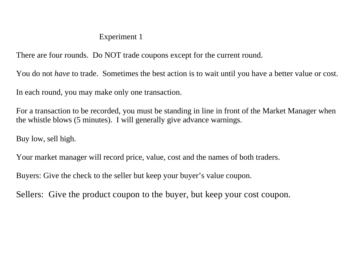## Experiment 1

There are four rounds. Do NOT trade coupons except for the current round.

You do not *have* to trade. Sometimes the best action is to wait until you have a better value or cost.

In each round, you may make only one transaction.

For a transaction to be recorded, you must be standing in line in front of the Market Manager when the whistle blows (5 minutes). I will generally give advance warnings.

Buy low, sell high.

Your market manager will record price, value, cost and the names of both traders.

Buyers: Give the check to the seller but keep your buyer's value coupon.

Sellers: Give the product coupon to the buyer, but keep your cost coupon.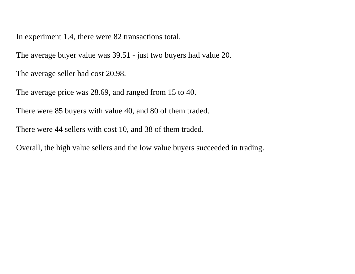In experiment 1.4, there were 82 transactions total.

The average buyer value was 39.51 - just two buyers had value 20.

The average seller had cost 20.98.

The average price was 28.69, and ranged from 15 to 40.

There were 85 buyers with value 40, and 80 of them traded.

There were 44 sellers with cost 10, and 38 of them traded.

Overall, the high value sellers and the low value buyers succeeded in trading.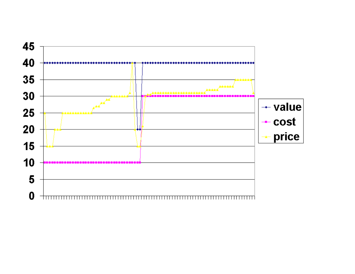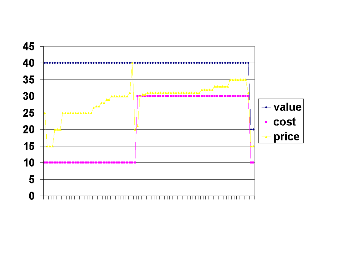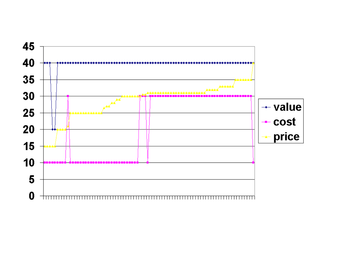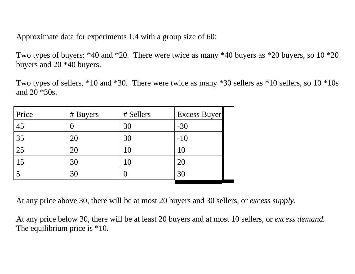Approximate data for experiments 1.4 with a group size of 60:

Two types of buyers: \*40 and \*20. There were twice as many \*40 buyers as \*20 buyers, so 10 \*20 buyers and 20 \*40 buyers.

Two types of sellers, \*10 and \*30. There were twice as many \*30 sellers as \*10 sellers, so 10 \*10s and 20 \*30s.

| Price | # Buyers | # Sellers | <b>Excess Buyers</b> |
|-------|----------|-----------|----------------------|
| 45    |          | 30        | $-30$                |
| 35    | 20       | 30        | $-10$                |
| 25    | 20       |           | I U                  |
| 15    | 30       |           | 20                   |
|       | 30       |           | 30                   |

At any price above 30, there will be at most 20 buyers and 30 sellers, or *excess supply*.

At any price below 30, there will be at least 20 buyers and at most 10 sellers, or *excess demand.* The equilibrium price is  $*10$ .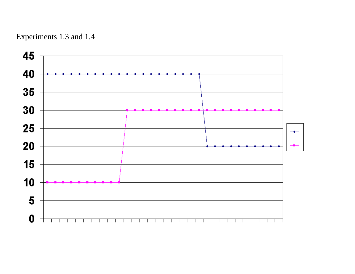

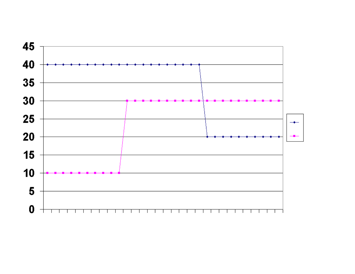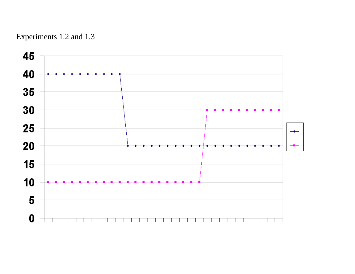

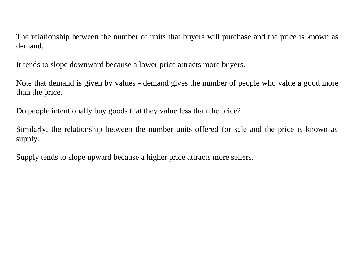The relationship between the number of units that buyers will purchase and the price is known as demand.

It tends to slope downward because a lower price attracts more buyers.

Note that demand is given by values - demand gives the number of people who value a good more than the price.

Do people intentionally buy goods that they value less than the price?

Similarly, the relationship between the number units offered for sale and the price is known as supply.

Supply tends to slope upward because a higher price attracts more sellers.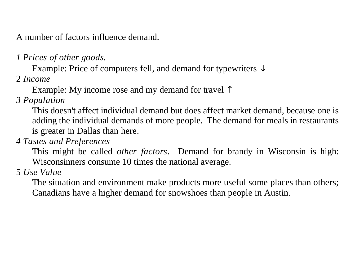A number of factors influence demand.

*1 Prices of other goods.*

Example: Price of computers fell, and demand for typewriters  $\downarrow$ 

2 *Income*

Example: My income rose and my demand for travel ↑

*3 Population*

This doesn't affect individual demand but does affect market demand, because one is adding the individual demands of more people. The demand for meals in restaurants is greater in Dallas than here.

*4 Tastes and Preferences*

This might be called *other factors*. Demand for brandy in Wisconsin is high: Wisconsinners consume 10 times the national average.

5 *Use Value*

The situation and environment make products more useful some places than others; Canadians have a higher demand for snowshoes than people in Austin.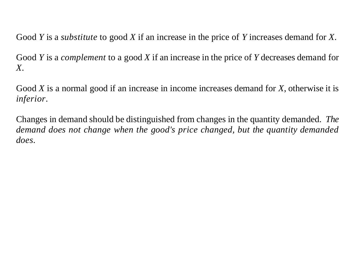Good *Y* is a *substitute* to good *X* if an increase in the price of *Y* increases demand for *X*.

Good *Y* is a *complement* to a good *X* if an increase in the price of *Y* decreases demand for *X*.

Good *X* is a normal good if an increase in income increases demand for *X*, otherwise it is *inferior*.

Changes in demand should be distinguished from changes in the quantity demanded. *The demand does not change when the good's price changed, but the quantity demanded does*.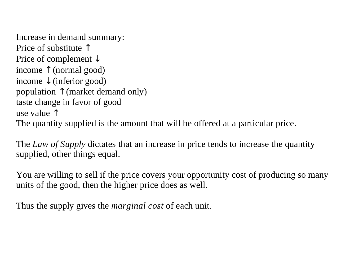Increase in demand summary: Price of substitute ↑ Price of complement ↓ income ↑ (normal good) income ↓ (inferior good) population ↑ (market demand only) taste change in favor of good use value  $\uparrow$ The quantity supplied is the amount that will be offered at a particular price.

The *Law of Supply* dictates that an increase in price tends to increase the quantity supplied, other things equal.

You are willing to sell if the price covers your opportunity cost of producing so many units of the good, then the higher price does as well.

Thus the supply gives the *marginal cost* of each unit.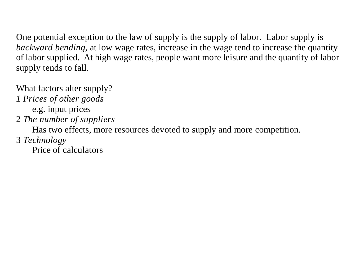One potential exception to the law of supply is the supply of labor. Labor supply is *backward bending*, at low wage rates, increase in the wage tend to increase the quantity of labor supplied. At high wage rates, people want more leisure and the quantity of labor supply tends to fall.

What factors alter supply?

*1 Prices of other goods*

e.g. input prices

2 *The number of suppliers*

Has two effects, more resources devoted to supply and more competition.

3 *Technology*

Price of calculators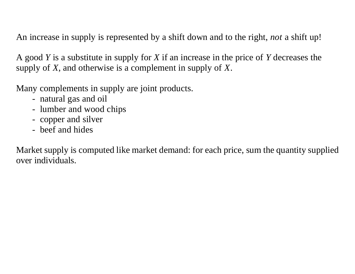An increase in supply is represented by a shift down and to the right, *not* a shift up!

A good *Y* is a substitute in supply for *X* if an increase in the price of *Y* decreases the supply of *X*, and otherwise is a complement in supply of *X*.

Many complements in supply are joint products.

- natural gas and oil
- lumber and wood chips
- copper and silver
- beef and hides

Market supply is computed like market demand: for each price, sum the quantity supplied over individuals.